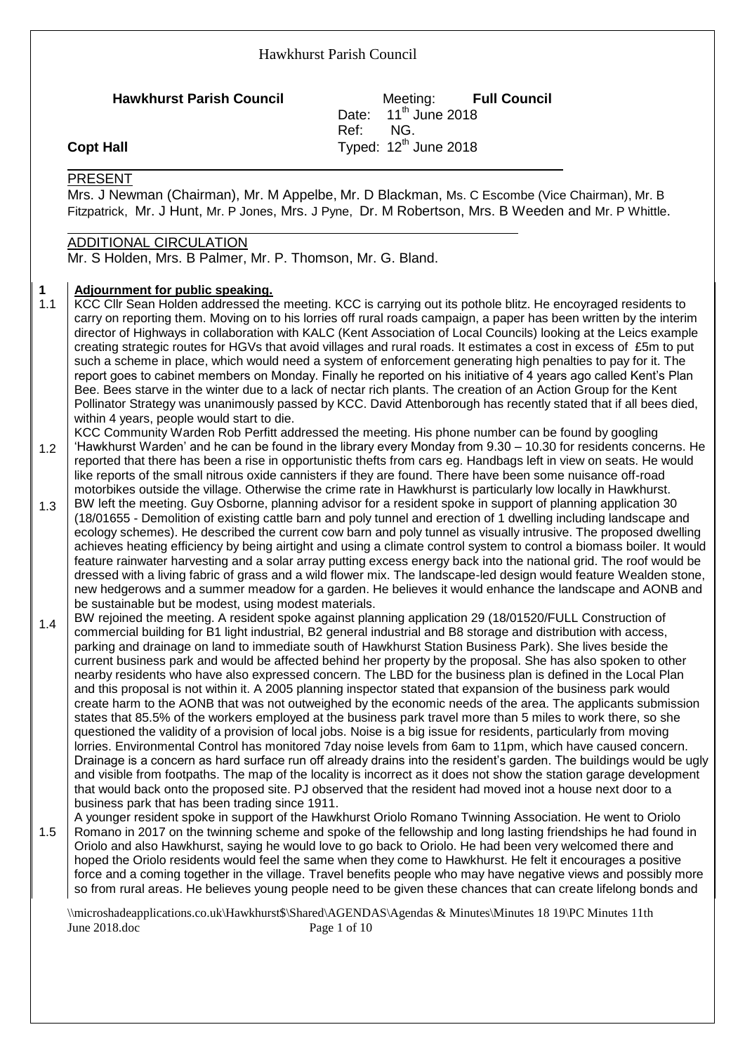**Hawkhurst Parish Council** Meeting: **Full Council** Date: 11<sup>th</sup>,<br>Ref: NG.  $11<sup>th</sup>$  June 2018 Ref: Typed:  $12<sup>th</sup>$  June 2018

## **Copt Hall**

#### PRESENT

Mrs. J Newman (Chairman), Mr. M Appelbe, Mr. D Blackman, Ms. C Escombe (Vice Chairman), Mr. B Fitzpatrick, Mr. J Hunt, Mr. P Jones, Mrs. J Pyne, Dr. M Robertson, Mrs. B Weeden and Mr. P Whittle.

# ADDITIONAL CIRCULATION

Mr. S Holden, Mrs. B Palmer, Mr. P. Thomson, Mr. G. Bland.

#### **1 Adjournment for public speaking.**

- 1.1 KCC Cllr Sean Holden addressed the meeting. KCC is carrying out its pothole blitz. He encoyraged residents to carry on reporting them. Moving on to his lorries off rural roads campaign, a paper has been written by the interim director of Highways in collaboration with KALC (Kent Association of Local Councils) looking at the Leics example creating strategic routes for HGVs that avoid villages and rural roads. It estimates a cost in excess of £5m to put such a scheme in place, which would need a system of enforcement generating high penalties to pay for it. The report goes to cabinet members on Monday. Finally he reported on his initiative of 4 years ago called Kent's Plan Bee. Bees starve in the winter due to a lack of nectar rich plants. The creation of an Action Group for the Kent Pollinator Strategy was unanimously passed by KCC. David Attenborough has recently stated that if all bees died, within 4 years, people would start to die.
- 1.2 KCC Community Warden Rob Perfitt addressed the meeting. His phone number can be found by googling 'Hawkhurst Warden' and he can be found in the library every Monday from 9.30 – 10.30 for residents concerns. He reported that there has been a rise in opportunistic thefts from cars eg. Handbags left in view on seats. He would like reports of the small nitrous oxide cannisters if they are found. There have been some nuisance off-road motorbikes outside the village. Otherwise the crime rate in Hawkhurst is particularly low locally in Hawkhurst.
- 1.3 BW left the meeting. Guy Osborne, planning advisor for a resident spoke in support of planning application 30 (18/01655 - Demolition of existing cattle barn and poly tunnel and erection of 1 dwelling including landscape and ecology schemes). He described the current cow barn and poly tunnel as visually intrusive. The proposed dwelling achieves heating efficiency by being airtight and using a climate control system to control a biomass boiler. It would feature rainwater harvesting and a solar array putting excess energy back into the national grid. The roof would be dressed with a living fabric of grass and a wild flower mix. The landscape-led design would feature Wealden stone, new hedgerows and a summer meadow for a garden. He believes it would enhance the landscape and AONB and be sustainable but be modest, using modest materials.
- 1.4 BW rejoined the meeting. A resident spoke against planning application 29 (18/01520/FULL Construction of commercial building for B1 light industrial, B2 general industrial and B8 storage and distribution with access, parking and drainage on land to immediate south of Hawkhurst Station Business Park). She lives beside the current business park and would be affected behind her property by the proposal. She has also spoken to other nearby residents who have also expressed concern. The LBD for the business plan is defined in the Local Plan and this proposal is not within it. A 2005 planning inspector stated that expansion of the business park would create harm to the AONB that was not outweighed by the economic needs of the area. The applicants submission states that 85.5% of the workers employed at the business park travel more than 5 miles to work there, so she questioned the validity of a provision of local jobs. Noise is a big issue for residents, particularly from moving lorries. Environmental Control has monitored 7day noise levels from 6am to 11pm, which have caused concern. Drainage is a concern as hard surface run off already drains into the resident's garden. The buildings would be ugly and visible from footpaths. The map of the locality is incorrect as it does not show the station garage development that would back onto the proposed site. PJ observed that the resident had moved inot a house next door to a business park that has been trading since 1911.
- 1.5 A younger resident spoke in support of the Hawkhurst Oriolo Romano Twinning Association. He went to Oriolo Romano in 2017 on the twinning scheme and spoke of the fellowship and long lasting friendships he had found in Oriolo and also Hawkhurst, saying he would love to go back to Oriolo. He had been very welcomed there and hoped the Oriolo residents would feel the same when they come to Hawkhurst. He felt it encourages a positive force and a coming together in the village. Travel benefits people who may have negative views and possibly more so from rural areas. He believes young people need to be given these chances that can create lifelong bonds and

\\microshadeapplications.co.uk\Hawkhurst\$\Shared\AGENDAS\Agendas & Minutes\Minutes 18 19\PC Minutes 11th June 2018.doc Page 1 of 10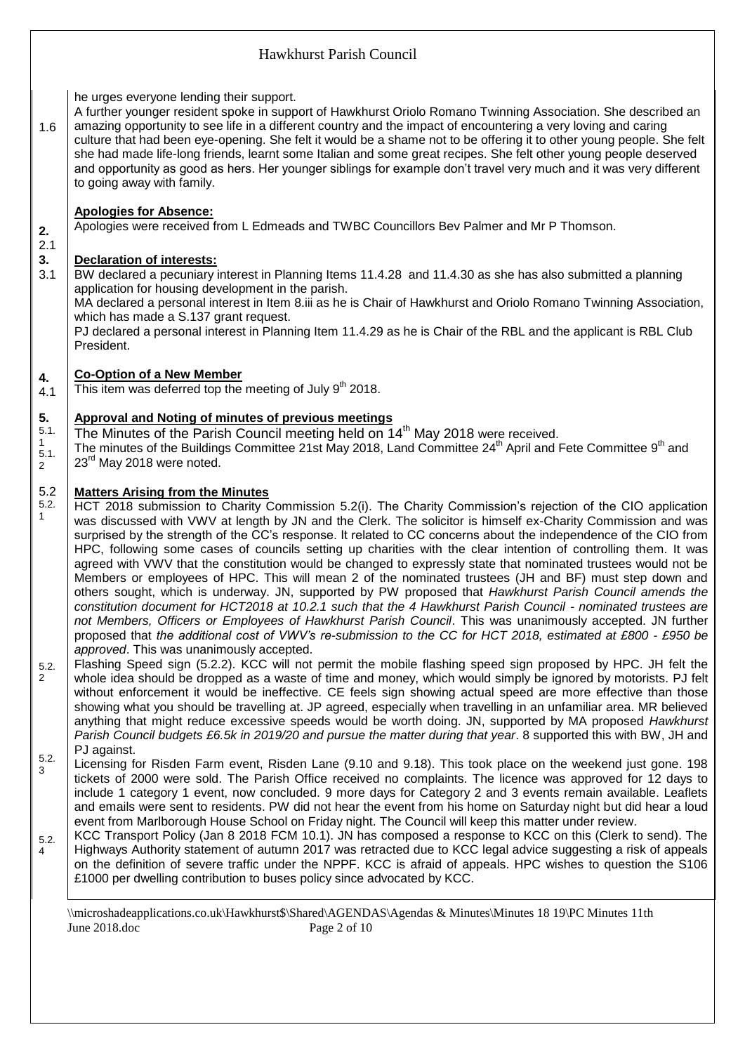|                                                       | Hawkhurst Parish Council                                                                                                                                                                                                                                                                                                                                                                                                                                                                                                                                                                                                                                                                                                                                                                                                                                                                                                                                                                                                                                                                                                                                                                                                                                                                                                                                                                                                                                                                                                                                                                                                                                                                                                                                                                                                                                                                                                                                |  |  |  |  |  |  |  |  |
|-------------------------------------------------------|---------------------------------------------------------------------------------------------------------------------------------------------------------------------------------------------------------------------------------------------------------------------------------------------------------------------------------------------------------------------------------------------------------------------------------------------------------------------------------------------------------------------------------------------------------------------------------------------------------------------------------------------------------------------------------------------------------------------------------------------------------------------------------------------------------------------------------------------------------------------------------------------------------------------------------------------------------------------------------------------------------------------------------------------------------------------------------------------------------------------------------------------------------------------------------------------------------------------------------------------------------------------------------------------------------------------------------------------------------------------------------------------------------------------------------------------------------------------------------------------------------------------------------------------------------------------------------------------------------------------------------------------------------------------------------------------------------------------------------------------------------------------------------------------------------------------------------------------------------------------------------------------------------------------------------------------------------|--|--|--|--|--|--|--|--|
| 1.6                                                   | he urges everyone lending their support.<br>A further younger resident spoke in support of Hawkhurst Oriolo Romano Twinning Association. She described an<br>amazing opportunity to see life in a different country and the impact of encountering a very loving and caring<br>culture that had been eye-opening. She felt it would be a shame not to be offering it to other young people. She felt<br>she had made life-long friends, learnt some Italian and some great recipes. She felt other young people deserved<br>and opportunity as good as hers. Her younger siblings for example don't travel very much and it was very different<br>to going away with family.                                                                                                                                                                                                                                                                                                                                                                                                                                                                                                                                                                                                                                                                                                                                                                                                                                                                                                                                                                                                                                                                                                                                                                                                                                                                            |  |  |  |  |  |  |  |  |
| 2.<br>2.1<br>3.<br>3.1                                | <b>Apologies for Absence:</b><br>Apologies were received from L Edmeads and TWBC Councillors Bev Palmer and Mr P Thomson.<br><b>Declaration of interests:</b><br>BW declared a pecuniary interest in Planning Items 11.4.28 and 11.4.30 as she has also submitted a planning<br>application for housing development in the parish.<br>MA declared a personal interest in Item 8.iii as he is Chair of Hawkhurst and Oriolo Romano Twinning Association,<br>which has made a S.137 grant request.<br>PJ declared a personal interest in Planning Item 11.4.29 as he is Chair of the RBL and the applicant is RBL Club<br>President.                                                                                                                                                                                                                                                                                                                                                                                                                                                                                                                                                                                                                                                                                                                                                                                                                                                                                                                                                                                                                                                                                                                                                                                                                                                                                                                      |  |  |  |  |  |  |  |  |
| 4.<br>4.1                                             | <b>Co-Option of a New Member</b><br>This item was deferred top the meeting of July 9 <sup>th</sup> 2018.                                                                                                                                                                                                                                                                                                                                                                                                                                                                                                                                                                                                                                                                                                                                                                                                                                                                                                                                                                                                                                                                                                                                                                                                                                                                                                                                                                                                                                                                                                                                                                                                                                                                                                                                                                                                                                                |  |  |  |  |  |  |  |  |
| 5.<br>5.1.<br>$\mathbf{1}$<br>5.1.<br>$\overline{2}$  | <b>Approval and Noting of minutes of previous meetings</b><br>The Minutes of the Parish Council meeting held on 14 <sup>th</sup> May 2018 were received.<br>The minutes of the Buildings Committee 21st May 2018, Land Committee 24 <sup>th</sup> April and Fete Committee 9 <sup>th</sup> and<br>23 <sup>rd</sup> May 2018 were noted.                                                                                                                                                                                                                                                                                                                                                                                                                                                                                                                                                                                                                                                                                                                                                                                                                                                                                                                                                                                                                                                                                                                                                                                                                                                                                                                                                                                                                                                                                                                                                                                                                 |  |  |  |  |  |  |  |  |
| 5.2<br>5.2.<br>$\mathbf{1}$<br>5.2.<br>$\overline{2}$ | <b>Matters Arising from the Minutes</b><br>HCT 2018 submission to Charity Commission 5.2(i). The Charity Commission's rejection of the CIO application<br>was discussed with VWV at length by JN and the Clerk. The solicitor is himself ex-Charity Commission and was<br>surprised by the strength of the CC's response. It related to CC concerns about the independence of the CIO from<br>HPC, following some cases of councils setting up charities with the clear intention of controlling them. It was<br>agreed with VWV that the constitution would be changed to expressly state that nominated trustees would not be<br>Members or employees of HPC. This will mean 2 of the nominated trustees (JH and BF) must step down and<br>others sought, which is underway. JN, supported by PW proposed that Hawkhurst Parish Council amends the<br>constitution document for HCT2018 at 10.2.1 such that the 4 Hawkhurst Parish Council - nominated trustees are<br>not Members, Officers or Employees of Hawkhurst Parish Council. This was unanimously accepted. JN further<br>proposed that the additional cost of VWV's re-submission to the CC for HCT 2018, estimated at £800 - £950 be<br>approved. This was unanimously accepted.<br>Flashing Speed sign (5.2.2). KCC will not permit the mobile flashing speed sign proposed by HPC. JH felt the<br>whole idea should be dropped as a waste of time and money, which would simply be ignored by motorists. PJ felt<br>without enforcement it would be ineffective. CE feels sign showing actual speed are more effective than those<br>showing what you should be travelling at. JP agreed, especially when travelling in an unfamiliar area. MR believed<br>anything that might reduce excessive speeds would be worth doing. JN, supported by MA proposed Hawkhurst<br>Parish Council budgets £6.5k in 2019/20 and pursue the matter during that year. 8 supported this with BW, JH and |  |  |  |  |  |  |  |  |
| 5.2.<br>3<br>5.2.<br>4                                | PJ against.<br>Licensing for Risden Farm event, Risden Lane (9.10 and 9.18). This took place on the weekend just gone. 198<br>tickets of 2000 were sold. The Parish Office received no complaints. The licence was approved for 12 days to<br>include 1 category 1 event, now concluded. 9 more days for Category 2 and 3 events remain available. Leaflets<br>and emails were sent to residents. PW did not hear the event from his home on Saturday night but did hear a loud<br>event from Marlborough House School on Friday night. The Council will keep this matter under review.<br>KCC Transport Policy (Jan 8 2018 FCM 10.1). JN has composed a response to KCC on this (Clerk to send). The<br>Highways Authority statement of autumn 2017 was retracted due to KCC legal advice suggesting a risk of appeals<br>on the definition of severe traffic under the NPPF. KCC is afraid of appeals. HPC wishes to question the S106<br>£1000 per dwelling contribution to buses policy since advocated by KCC.                                                                                                                                                                                                                                                                                                                                                                                                                                                                                                                                                                                                                                                                                                                                                                                                                                                                                                                                     |  |  |  |  |  |  |  |  |
|                                                       | \\microshadeapplications.co.uk\Hawkhurst\$\Shared\AGENDAS\Agendas & Minutes\Minutes 18 19\PC Minutes 11th<br>June 2018.doc<br>Page 2 of 10                                                                                                                                                                                                                                                                                                                                                                                                                                                                                                                                                                                                                                                                                                                                                                                                                                                                                                                                                                                                                                                                                                                                                                                                                                                                                                                                                                                                                                                                                                                                                                                                                                                                                                                                                                                                              |  |  |  |  |  |  |  |  |
|                                                       |                                                                                                                                                                                                                                                                                                                                                                                                                                                                                                                                                                                                                                                                                                                                                                                                                                                                                                                                                                                                                                                                                                                                                                                                                                                                                                                                                                                                                                                                                                                                                                                                                                                                                                                                                                                                                                                                                                                                                         |  |  |  |  |  |  |  |  |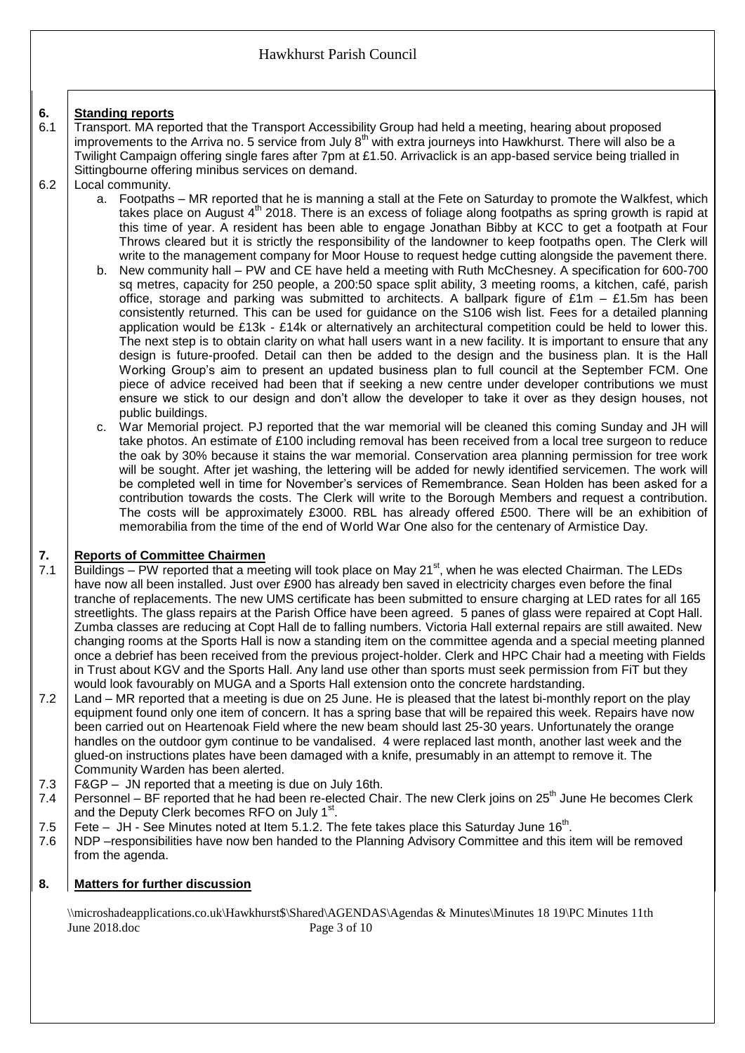#### **6. Standing reports**

- 6.1 Transport. MA reported that the Transport Accessibility Group had held a meeting, hearing about proposed improvements to the Arriva no. 5 service from July  $8<sup>th</sup>$  with extra journeys into Hawkhurst. There will also be a Twilight Campaign offering single fares after 7pm at £1.50. Arrivaclick is an app-based service being trialled in Sittingbourne offering minibus services on demand.
- 6.2 Local community.
	- a. Footpaths MR reported that he is manning a stall at the Fete on Saturday to promote the Walkfest, which takes place on August  $4<sup>th</sup>$  2018. There is an excess of foliage along footpaths as spring growth is rapid at this time of year. A resident has been able to engage Jonathan Bibby at KCC to get a footpath at Four Throws cleared but it is strictly the responsibility of the landowner to keep footpaths open. The Clerk will write to the management company for Moor House to request hedge cutting alongside the pavement there.
	- b. New community hall PW and CE have held a meeting with Ruth McChesney. A specification for 600-700 sq metres, capacity for 250 people, a 200:50 space split ability, 3 meeting rooms, a kitchen, café, parish office, storage and parking was submitted to architects. A ballpark figure of  $£1m - £1.5m$  has been consistently returned. This can be used for guidance on the S106 wish list. Fees for a detailed planning application would be £13k - £14k or alternatively an architectural competition could be held to lower this. The next step is to obtain clarity on what hall users want in a new facility. It is important to ensure that any design is future-proofed. Detail can then be added to the design and the business plan. It is the Hall Working Group's aim to present an updated business plan to full council at the September FCM. One piece of advice received had been that if seeking a new centre under developer contributions we must ensure we stick to our design and don't allow the developer to take it over as they design houses, not public buildings.
	- c. War Memorial project. PJ reported that the war memorial will be cleaned this coming Sunday and JH will take photos. An estimate of £100 including removal has been received from a local tree surgeon to reduce the oak by 30% because it stains the war memorial. Conservation area planning permission for tree work will be sought. After jet washing, the lettering will be added for newly identified servicemen. The work will be completed well in time for November's services of Remembrance. Sean Holden has been asked for a contribution towards the costs. The Clerk will write to the Borough Members and request a contribution. The costs will be approximately £3000. RBL has already offered £500. There will be an exhibition of memorabilia from the time of the end of World War One also for the centenary of Armistice Day.

#### **7. Reports of Committee Chairmen**

- 7.1 Buildings – PW reported that a meeting will took place on May 21<sup>st</sup>, when he was elected Chairman. The LEDs have now all been installed. Just over £900 has already ben saved in electricity charges even before the final tranche of replacements. The new UMS certificate has been submitted to ensure charging at LED rates for all 165 streetlights. The glass repairs at the Parish Office have been agreed. 5 panes of glass were repaired at Copt Hall. Zumba classes are reducing at Copt Hall de to falling numbers. Victoria Hall external repairs are still awaited. New changing rooms at the Sports Hall is now a standing item on the committee agenda and a special meeting planned once a debrief has been received from the previous project-holder. Clerk and HPC Chair had a meeting with Fields in Trust about KGV and the Sports Hall. Any land use other than sports must seek permission from FiT but they would look favourably on MUGA and a Sports Hall extension onto the concrete hardstanding.
- 7.2 Land – MR reported that a meeting is due on 25 June. He is pleased that the latest bi-monthly report on the play equipment found only one item of concern. It has a spring base that will be repaired this week. Repairs have now been carried out on Heartenoak Field where the new beam should last 25-30 years. Unfortunately the orange handles on the outdoor gym continue to be vandalised. 4 were replaced last month, another last week and the glued-on instructions plates have been damaged with a knife, presumably in an attempt to remove it. The Community Warden has been alerted.
- 7.3 F&GP – JN reported that a meeting is due on July 16th.
- 7.4 Personnel – BF reported that he had been re-elected Chair. The new Clerk joins on  $25<sup>th</sup>$  June He becomes Clerk and the Deputy Clerk becomes RFO on July 1<sup>st</sup>.
- 7.5 Fete  $-$  JH - See Minutes noted at Item 5.1.2. The fete takes place this Saturday June 16<sup>th</sup>.
- 7.6 NDP –responsibilities have now ben handed to the Planning Advisory Committee and this item will be removed from the agenda.

#### **8. Matters for further discussion**

\\microshadeapplications.co.uk\Hawkhurst\$\Shared\AGENDAS\Agendas & Minutes\Minutes 18 19\PC Minutes 11th June 2018.doc Page 3 of 10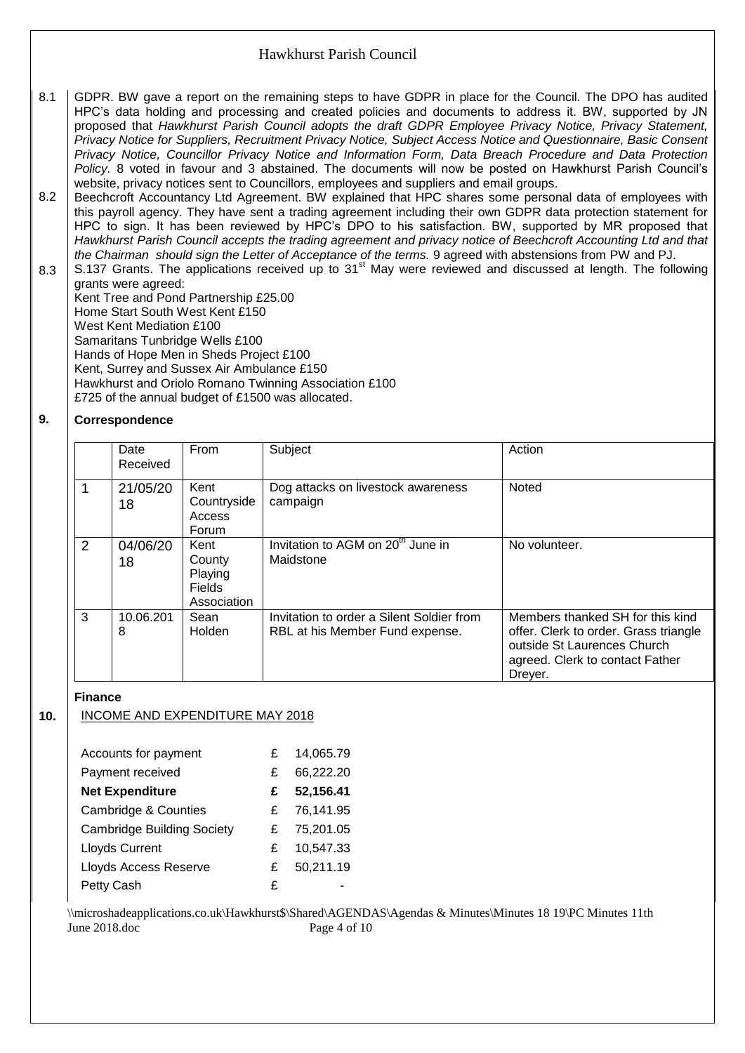- 8.1 GDPR. BW gave a report on the remaining steps to have GDPR in place for the Council. The DPO has audited HPC's data holding and processing and created policies and documents to address it. BW, supported by JN proposed that *Hawkhurst Parish Council adopts the draft GDPR Employee Privacy Notice, Privacy Statement, Privacy Notice for Suppliers, Recruitment Privacy Notice, Subject Access Notice and Questionnaire, Basic Consent Privacy Notice, Councillor Privacy Notice and Information Form, Data Breach Procedure and Data Protection Policy.* 8 voted in favour and 3 abstained. The documents will now be posted on Hawkhurst Parish Council's website, privacy notices sent to Councillors, employees and suppliers and email groups.
- 8.2 Beechcroft Accountancy Ltd Agreement. BW explained that HPC shares some personal data of employees with this payroll agency. They have sent a trading agreement including their own GDPR data protection statement for HPC to sign. It has been reviewed by HPC's DPO to his satisfaction. BW, supported by MR proposed that *Hawkhurst Parish Council accepts the trading agreement and privacy notice of Beechcroft Accounting Ltd and that the Chairman should sign the Letter of Acceptance of the terms.* 9 agreed with abstensions from PW and PJ.
- 8.3 S.137 Grants. The applications received up to 31<sup>st</sup> May were reviewed and discussed at length. The following grants were agreed:

Kent Tree and Pond Partnership £25.00 Home Start South West Kent £150 West Kent Mediation £100 Samaritans Tunbridge Wells £100 Hands of Hope Men in Sheds Project £100 Kent, Surrey and Sussex Air Ambulance £150 Hawkhurst and Oriolo Romano Twinning Association £100 £725 of the annual budget of £1500 was allocated.

#### **9. Correspondence**

|   | Date      | From          | Subject                                       | Action                                |
|---|-----------|---------------|-----------------------------------------------|---------------------------------------|
|   | Received  |               |                                               |                                       |
|   |           |               |                                               |                                       |
| 1 | 21/05/20  | Kent          | Dog attacks on livestock awareness            | Noted                                 |
|   | 18        | Countryside   | campaign                                      |                                       |
|   |           | Access        |                                               |                                       |
|   |           | Forum         |                                               |                                       |
| 2 | 04/06/20  | Kent          | Invitation to AGM on 20 <sup>th</sup> June in | No volunteer.                         |
|   | 18        | County        | Maidstone                                     |                                       |
|   |           | Playing       |                                               |                                       |
|   |           | <b>Fields</b> |                                               |                                       |
|   |           | Association   |                                               |                                       |
| 3 | 10.06.201 | Sean          | Invitation to order a Silent Soldier from     | Members thanked SH for this kind      |
|   | 8         | <b>Holden</b> | RBL at his Member Fund expense.               | offer. Clerk to order. Grass triangle |
|   |           |               |                                               | outside St Laurences Church           |
|   |           |               |                                               | agreed. Clerk to contact Father       |
|   |           |               |                                               | Dreyer.                               |

## **Finance**

**10.**

## INCOME AND EXPENDITURE MAY 2018

| Accounts for payment              | £ | 14,065.79 |
|-----------------------------------|---|-----------|
| Payment received                  | £ | 66,222.20 |
| <b>Net Expenditure</b>            | £ | 52,156.41 |
| Cambridge & Counties              | £ | 76,141.95 |
| <b>Cambridge Building Society</b> | £ | 75,201.05 |
| Lloyds Current                    | £ | 10,547.33 |
| <b>Lloyds Access Reserve</b>      | £ | 50,211.19 |
| Petty Cash                        | £ |           |

\\microshadeapplications.co.uk\Hawkhurst\$\Shared\AGENDAS\Agendas & Minutes\Minutes 18 19\PC Minutes 11th June 2018.doc Page 4 of 10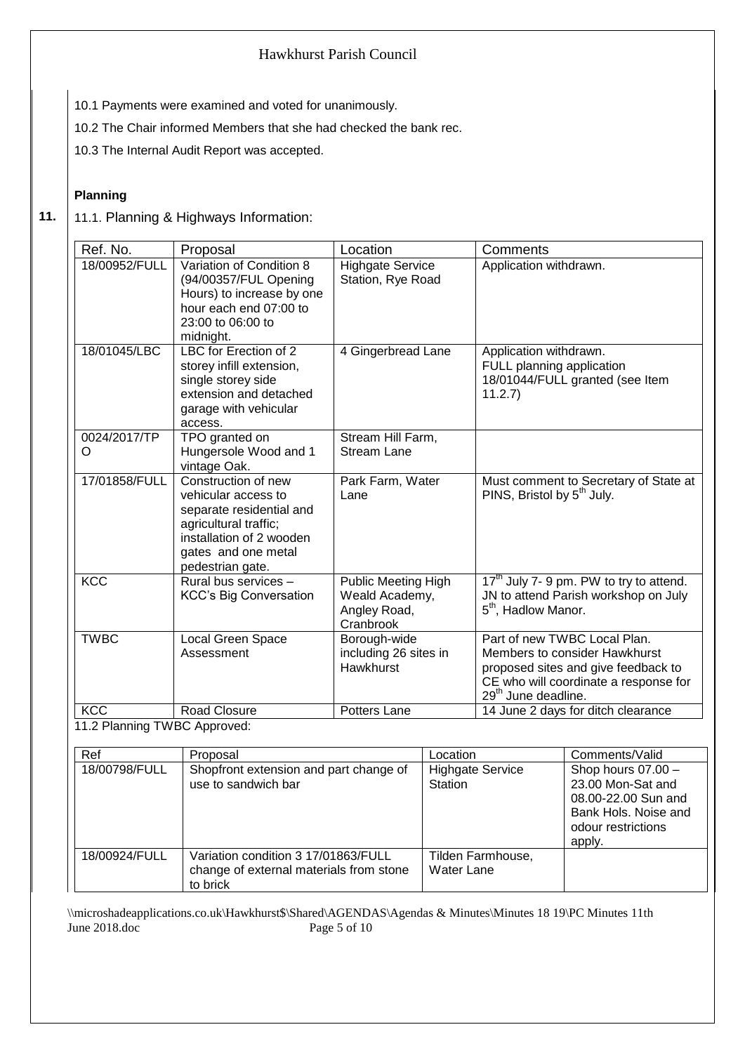- 10.1 Payments were examined and voted for unanimously.
- 10.2 The Chair informed Members that she had checked the bank rec.
- 10.3 The Internal Audit Report was accepted.

### **Planning**

**11.** 11.1. Planning & Highways Information:

| Ref. No.                     | Proposal                                                                                                                                                               | Location                                                                  | Comments                                                                                                                                                                         |
|------------------------------|------------------------------------------------------------------------------------------------------------------------------------------------------------------------|---------------------------------------------------------------------------|----------------------------------------------------------------------------------------------------------------------------------------------------------------------------------|
| 18/00952/FULL                | Variation of Condition 8<br>(94/00357/FUL Opening<br>Hours) to increase by one<br>hour each end 07:00 to<br>23:00 to 06:00 to<br>midnight.                             | <b>Highgate Service</b><br>Station, Rye Road                              | Application withdrawn.                                                                                                                                                           |
| 18/01045/LBC                 | LBC for Erection of 2<br>storey infill extension,<br>single storey side<br>extension and detached<br>garage with vehicular<br>access.                                  | 4 Gingerbread Lane                                                        | Application withdrawn.<br>FULL planning application<br>18/01044/FULL granted (see Item<br>11.2.7)                                                                                |
| 0024/2017/TP<br>O            | TPO granted on<br>Hungersole Wood and 1<br>vintage Oak.                                                                                                                | Stream Hill Farm,<br><b>Stream Lane</b>                                   |                                                                                                                                                                                  |
| 17/01858/FULL                | Construction of new<br>vehicular access to<br>separate residential and<br>agricultural traffic;<br>installation of 2 wooden<br>gates and one metal<br>pedestrian gate. | Park Farm, Water<br>Lane                                                  | Must comment to Secretary of State at<br>PINS, Bristol by 5 <sup>th</sup> July.                                                                                                  |
| <b>KCC</b>                   | Rural bus services -<br><b>KCC's Big Conversation</b>                                                                                                                  | <b>Public Meeting High</b><br>Weald Academy,<br>Angley Road,<br>Cranbrook | 17 <sup>th</sup> July 7- 9 pm. PW to try to attend.<br>JN to attend Parish workshop on July<br>5 <sup>th</sup> , Hadlow Manor.                                                   |
| <b>TWBC</b>                  | Local Green Space<br>Assessment                                                                                                                                        | Borough-wide<br>including 26 sites in<br>Hawkhurst                        | Part of new TWBC Local Plan.<br>Members to consider Hawkhurst<br>proposed sites and give feedback to<br>CE who will coordinate a response for<br>29 <sup>th</sup> June deadline. |
| <b>KCC</b>                   | <b>Road Closure</b>                                                                                                                                                    | Potters Lane                                                              | 14 June 2 days for ditch clearance                                                                                                                                               |
| 11.2 Planning TWBC Approved: |                                                                                                                                                                        |                                                                           |                                                                                                                                                                                  |

| Ref           | Proposal                                                                                   | Location                           | Comments/Valid                                                                                                         |
|---------------|--------------------------------------------------------------------------------------------|------------------------------------|------------------------------------------------------------------------------------------------------------------------|
| 18/00798/FULL | Shopfront extension and part change of<br>use to sandwich bar                              | <b>Highgate Service</b><br>Station | Shop hours 07.00 -<br>23.00 Mon-Sat and<br>08.00-22.00 Sun and<br>Bank Hols. Noise and<br>odour restrictions<br>apply. |
| 18/00924/FULL | Variation condition 3 17/01863/FULL<br>change of external materials from stone<br>to brick | Tilden Farmhouse,<br>Water Lane    |                                                                                                                        |

\\microshadeapplications.co.uk\Hawkhurst\$\Shared\AGENDAS\Agendas & Minutes\Minutes 18 19\PC Minutes 11th Page 5 of 10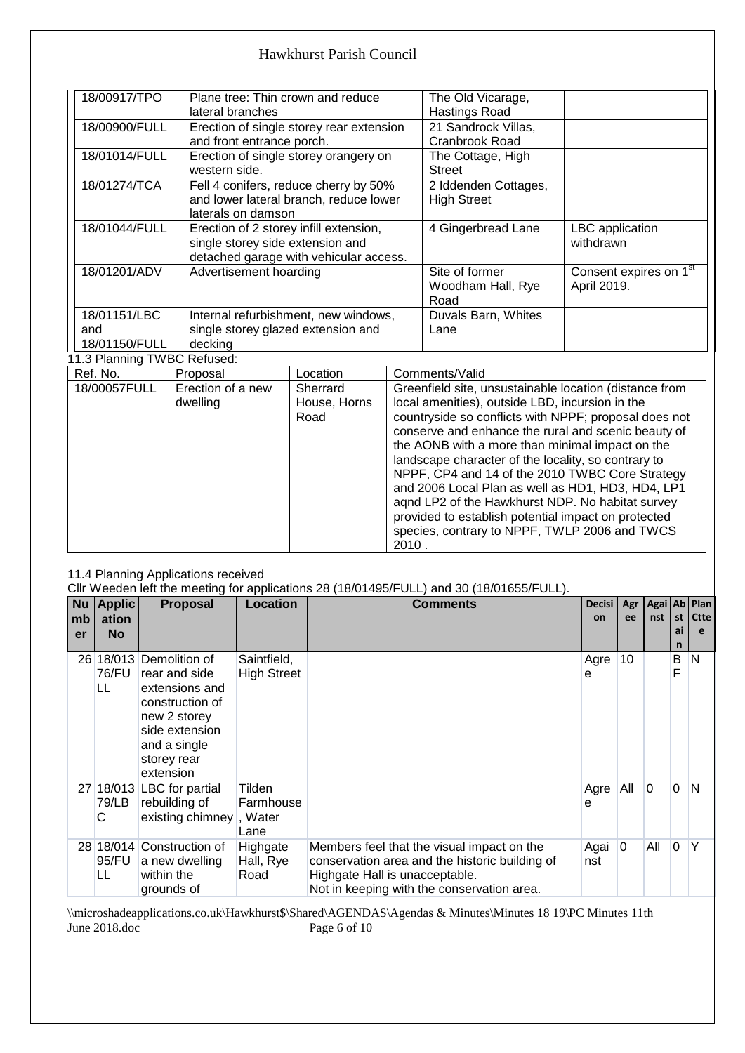| 18/00917/TPO                | Plane tree: Thin crown and reduce        | The Old Vicarage,    |                                    |
|-----------------------------|------------------------------------------|----------------------|------------------------------------|
|                             | lateral branches                         | Hastings Road        |                                    |
| 18/00900/FULL               | Erection of single storey rear extension | 21 Sandrock Villas,  |                                    |
|                             | and front entrance porch.                | Cranbrook Road       |                                    |
| 18/01014/FULL               | Erection of single storey orangery on    | The Cottage, High    |                                    |
|                             | western side.                            | <b>Street</b>        |                                    |
| 18/01274/TCA                | Fell 4 conifers, reduce cherry by 50%    | 2 Iddenden Cottages, |                                    |
|                             | and lower lateral branch, reduce lower   | <b>High Street</b>   |                                    |
|                             | laterals on damson                       |                      |                                    |
| 18/01044/FULL               | Erection of 2 storey infill extension,   | 4 Gingerbread Lane   | LBC application                    |
|                             | single storey side extension and         |                      | withdrawn                          |
|                             | detached garage with vehicular access.   |                      |                                    |
| 18/01201/ADV                | Advertisement hoarding                   | Site of former       | Consent expires on 1 <sup>st</sup> |
|                             |                                          | Woodham Hall, Rye    | April 2019.                        |
|                             |                                          | Road                 |                                    |
| 18/01151/LBC                | Internal refurbishment, new windows,     | Duvals Barn, Whites  |                                    |
| and                         | single storey glazed extension and       | Lane                 |                                    |
| 18/01150/FULL               | decking                                  |                      |                                    |
| 11.3 Planning TWBC Refused: |                                          |                      |                                    |

| Ref. No.     | Proposal                      | Location                         | Comments/Valid                                                                                                                                                                                                                                                                                                                                                                                                                                                                                                                                                                                                   |
|--------------|-------------------------------|----------------------------------|------------------------------------------------------------------------------------------------------------------------------------------------------------------------------------------------------------------------------------------------------------------------------------------------------------------------------------------------------------------------------------------------------------------------------------------------------------------------------------------------------------------------------------------------------------------------------------------------------------------|
| 18/00057FULL | Erection of a new<br>dwelling | Sherrard<br>House, Horns<br>Road | Greenfield site, unsustainable location (distance from<br>local amenities), outside LBD, incursion in the<br>countryside so conflicts with NPPF; proposal does not<br>conserve and enhance the rural and scenic beauty of<br>the AONB with a more than minimal impact on the<br>landscape character of the locality, so contrary to<br>NPPF, CP4 and 14 of the 2010 TWBC Core Strategy<br>and 2006 Local Plan as well as HD1, HD3, HD4, LP1<br>agnd LP2 of the Hawkhurst NDP. No habitat survey<br>provided to establish potential impact on protected<br>species, contrary to NPPF, TWLP 2006 and TWCS<br>2010. |

### 11.4 Planning Applications received

|    |               |                           | CIIr Weeden left the meeting for applications 28 (18/01495/FULL) and 30 (18/01655/FULL). |                                                |               |            |     |          |              |  |  |
|----|---------------|---------------------------|------------------------------------------------------------------------------------------|------------------------------------------------|---------------|------------|-----|----------|--------------|--|--|
| Nu | <b>Applic</b> | <b>Proposal</b>           | <b>Location</b>                                                                          | <b>Comments</b>                                | <b>Decisi</b> | Agr        |     |          | Agai Ab Plan |  |  |
| mb | ation         |                           |                                                                                          |                                                | on            | ee         | nst | st       | <b>Ctte</b>  |  |  |
| er | <b>No</b>     |                           |                                                                                          |                                                |               |            |     | ai       | e            |  |  |
|    |               |                           |                                                                                          |                                                |               |            |     | n        |              |  |  |
| 26 | 18/013        | Demolition of             | Saintfield,                                                                              |                                                | Agre          | 10         |     | B        | N            |  |  |
|    | 76/FU         | rear and side             | <b>High Street</b>                                                                       |                                                | е             |            |     | F        |              |  |  |
|    | LL            | extensions and            |                                                                                          |                                                |               |            |     |          |              |  |  |
|    |               | construction of           |                                                                                          |                                                |               |            |     |          |              |  |  |
|    |               | new 2 storey              |                                                                                          |                                                |               |            |     |          |              |  |  |
|    |               | side extension            |                                                                                          |                                                |               |            |     |          |              |  |  |
|    |               | and a single              |                                                                                          |                                                |               |            |     |          |              |  |  |
|    |               | storey rear               |                                                                                          |                                                |               |            |     |          |              |  |  |
|    |               | extension                 |                                                                                          |                                                |               |            |     |          |              |  |  |
|    |               | 27 18/013 LBC for partial | Tilden                                                                                   |                                                | Agre          | <b>All</b> | 0   | 0        | N            |  |  |
|    | 79/LB         | rebuilding of             | Farmhouse                                                                                |                                                | e             |            |     |          |              |  |  |
|    | С             | existing chimney, Water   |                                                                                          |                                                |               |            |     |          |              |  |  |
|    |               |                           | Lane                                                                                     |                                                |               |            |     |          |              |  |  |
|    | 28 18/014     | Construction of           | Highgate                                                                                 | Members feel that the visual impact on the     | Agai 0        |            | All | $\Omega$ | Υ            |  |  |
|    | 95/FU         |                           | Hall, Rye                                                                                | conservation area and the historic building of | nst           |            |     |          |              |  |  |
|    |               | a new dwelling            |                                                                                          |                                                |               |            |     |          |              |  |  |
|    | LL            | within the                | Road                                                                                     | Highgate Hall is unacceptable.                 |               |            |     |          |              |  |  |
|    |               | grounds of                |                                                                                          | Not in keeping with the conservation area.     |               |            |     |          |              |  |  |

\\microshadeapplications.co.uk\Hawkhurst\$\Shared\AGENDAS\Agendas & Minutes\Minutes 18 19\PC Minutes 11th Page 6 of 10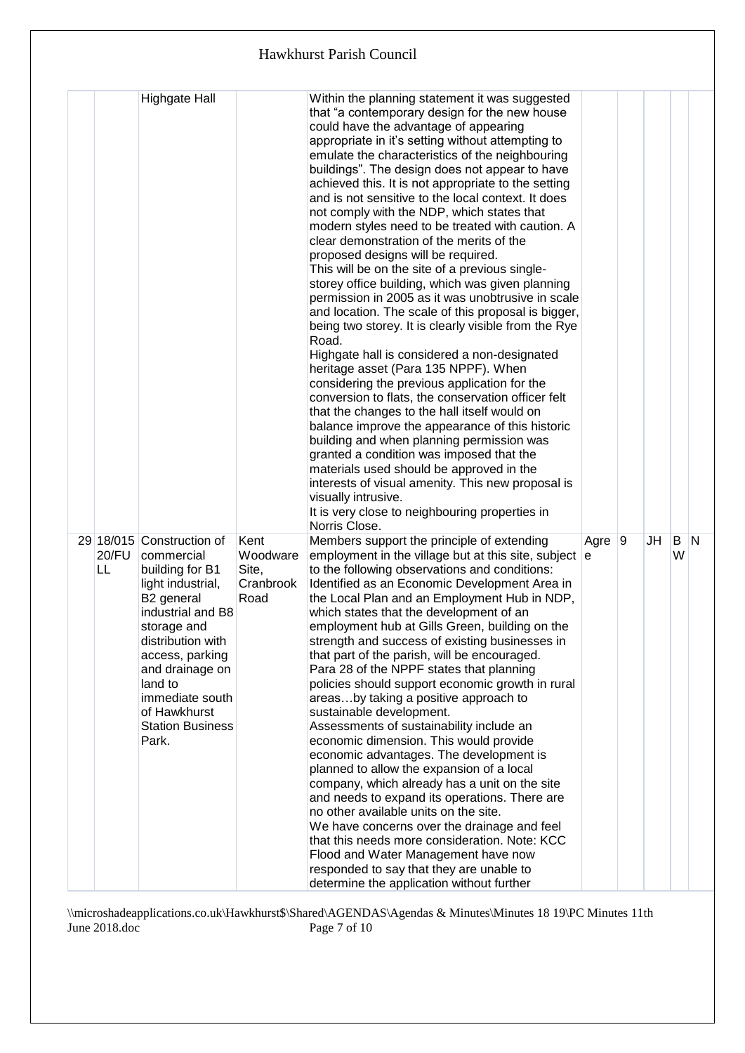|  |             | <b>Highgate Hall</b>                                                                                                                                                                                                                                                           |                                                | Within the planning statement it was suggested<br>that "a contemporary design for the new house<br>could have the advantage of appearing<br>appropriate in it's setting without attempting to<br>emulate the characteristics of the neighbouring<br>buildings". The design does not appear to have<br>achieved this. It is not appropriate to the setting<br>and is not sensitive to the local context. It does<br>not comply with the NDP, which states that<br>modern styles need to be treated with caution. A<br>clear demonstration of the merits of the<br>proposed designs will be required.<br>This will be on the site of a previous single-<br>storey office building, which was given planning<br>permission in 2005 as it was unobtrusive in scale<br>and location. The scale of this proposal is bigger,<br>being two storey. It is clearly visible from the Rye<br>Road.<br>Highgate hall is considered a non-designated<br>heritage asset (Para 135 NPPF). When<br>considering the previous application for the<br>conversion to flats, the conservation officer felt<br>that the changes to the hall itself would on<br>balance improve the appearance of this historic<br>building and when planning permission was<br>granted a condition was imposed that the<br>materials used should be approved in the<br>interests of visual amenity. This new proposal is<br>visually intrusive.<br>It is very close to neighbouring properties in<br>Norris Close. |            |    |          |  |
|--|-------------|--------------------------------------------------------------------------------------------------------------------------------------------------------------------------------------------------------------------------------------------------------------------------------|------------------------------------------------|-----------------------------------------------------------------------------------------------------------------------------------------------------------------------------------------------------------------------------------------------------------------------------------------------------------------------------------------------------------------------------------------------------------------------------------------------------------------------------------------------------------------------------------------------------------------------------------------------------------------------------------------------------------------------------------------------------------------------------------------------------------------------------------------------------------------------------------------------------------------------------------------------------------------------------------------------------------------------------------------------------------------------------------------------------------------------------------------------------------------------------------------------------------------------------------------------------------------------------------------------------------------------------------------------------------------------------------------------------------------------------------------------------------------------------------------------------------------------------|------------|----|----------|--|
|  | 20/FU<br>LL | 29 18/015 Construction of<br>commercial<br>building for B1<br>light industrial,<br>B2 general<br>industrial and B8<br>storage and<br>distribution with<br>access, parking<br>and drainage on<br>land to<br>immediate south<br>of Hawkhurst<br><b>Station Business</b><br>Park. | Kent<br>Woodware<br>Site,<br>Cranbrook<br>Road | Members support the principle of extending<br>employment in the village but at this site, subject $ e $<br>to the following observations and conditions:<br>Identified as an Economic Development Area in<br>the Local Plan and an Employment Hub in NDP,<br>which states that the development of an<br>employment hub at Gills Green, building on the<br>strength and success of existing businesses in<br>that part of the parish, will be encouraged.<br>Para 28 of the NPPF states that planning<br>policies should support economic growth in rural<br>areasby taking a positive approach to<br>sustainable development.<br>Assessments of sustainability include an<br>economic dimension. This would provide<br>economic advantages. The development is<br>planned to allow the expansion of a local<br>company, which already has a unit on the site<br>and needs to expand its operations. There are<br>no other available units on the site.<br>We have concerns over the drainage and feel<br>that this needs more consideration. Note: KCC<br>Flood and Water Management have now<br>responded to say that they are unable to<br>determine the application without further                                                                                                                                                                                                                                                                                      | Agre $ 9 $ | JH | B N<br>W |  |

\\microshadeapplications.co.uk\Hawkhurst\$\Shared\AGENDAS\Agendas & Minutes\Minutes 18 19\PC Minutes 11th June 2018.doc Page 7 of 10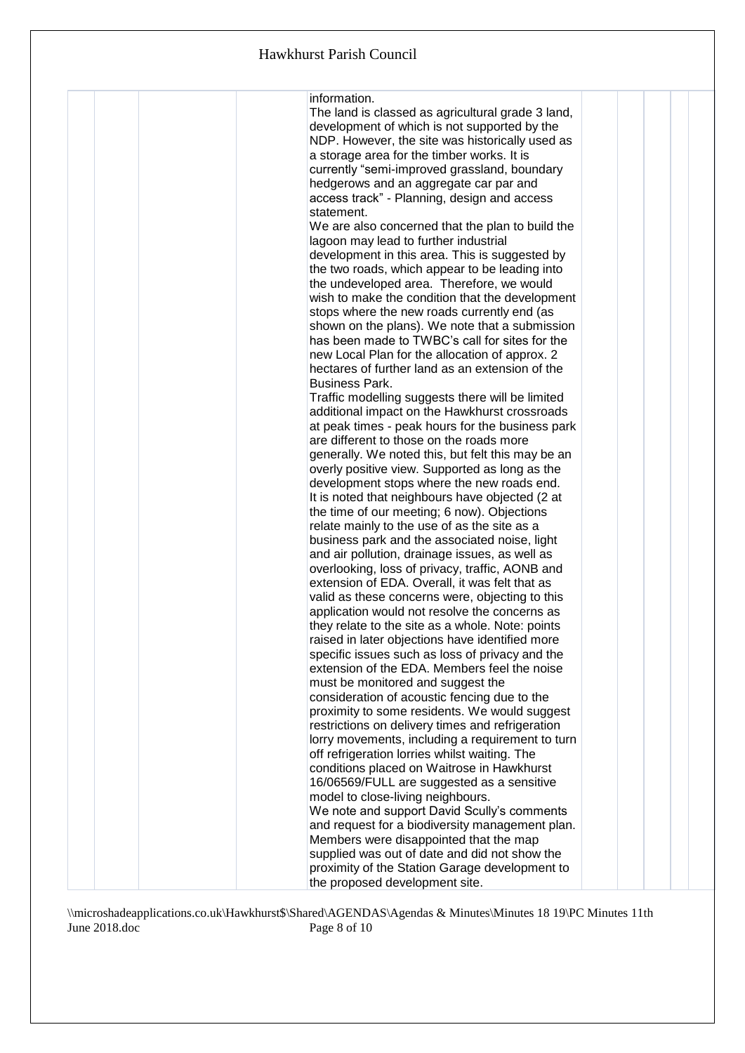|  | information.<br>The land is classed as agricultural grade 3 land,<br>development of which is not supported by the<br>NDP. However, the site was historically used as<br>a storage area for the timber works. It is<br>currently "semi-improved grassland, boundary<br>hedgerows and an aggregate car par and<br>access track" - Planning, design and access<br>statement.<br>We are also concerned that the plan to build the<br>lagoon may lead to further industrial<br>development in this area. This is suggested by<br>the two roads, which appear to be leading into<br>the undeveloped area. Therefore, we would<br>wish to make the condition that the development<br>stops where the new roads currently end (as<br>shown on the plans). We note that a submission<br>has been made to TWBC's call for sites for the<br>new Local Plan for the allocation of approx. 2<br>hectares of further land as an extension of the<br><b>Business Park.</b><br>Traffic modelling suggests there will be limited<br>additional impact on the Hawkhurst crossroads<br>at peak times - peak hours for the business park<br>are different to those on the roads more<br>generally. We noted this, but felt this may be an<br>overly positive view. Supported as long as the<br>development stops where the new roads end.<br>It is noted that neighbours have objected (2 at<br>the time of our meeting; 6 now). Objections<br>relate mainly to the use of as the site as a<br>business park and the associated noise, light<br>and air pollution, drainage issues, as well as<br>overlooking, loss of privacy, traffic, AONB and<br>extension of EDA. Overall, it was felt that as<br>valid as these concerns were, objecting to this<br>application would not resolve the concerns as<br>they relate to the site as a whole. Note: points<br>raised in later objections have identified more<br>specific issues such as loss of privacy and the<br>extension of the EDA. Members feel the noise<br>must be monitored and suggest the<br>consideration of acoustic fencing due to the<br>proximity to some residents. We would suggest<br>restrictions on delivery times and refrigeration<br>lorry movements, including a requirement to turn<br>off refrigeration lorries whilst waiting. The<br>conditions placed on Waitrose in Hawkhurst<br>16/06569/FULL are suggested as a sensitive |  |  |
|--|------------------------------------------------------------------------------------------------------------------------------------------------------------------------------------------------------------------------------------------------------------------------------------------------------------------------------------------------------------------------------------------------------------------------------------------------------------------------------------------------------------------------------------------------------------------------------------------------------------------------------------------------------------------------------------------------------------------------------------------------------------------------------------------------------------------------------------------------------------------------------------------------------------------------------------------------------------------------------------------------------------------------------------------------------------------------------------------------------------------------------------------------------------------------------------------------------------------------------------------------------------------------------------------------------------------------------------------------------------------------------------------------------------------------------------------------------------------------------------------------------------------------------------------------------------------------------------------------------------------------------------------------------------------------------------------------------------------------------------------------------------------------------------------------------------------------------------------------------------------------------------------------------------------------------------------------------------------------------------------------------------------------------------------------------------------------------------------------------------------------------------------------------------------------------------------------------------------------------------------------------------------------------------------------------------------------------------------------------------------------------------------|--|--|
|  |                                                                                                                                                                                                                                                                                                                                                                                                                                                                                                                                                                                                                                                                                                                                                                                                                                                                                                                                                                                                                                                                                                                                                                                                                                                                                                                                                                                                                                                                                                                                                                                                                                                                                                                                                                                                                                                                                                                                                                                                                                                                                                                                                                                                                                                                                                                                                                                          |  |  |
|  | model to close-living neighbours.<br>We note and support David Scully's comments<br>and request for a biodiversity management plan.<br>Members were disappointed that the map                                                                                                                                                                                                                                                                                                                                                                                                                                                                                                                                                                                                                                                                                                                                                                                                                                                                                                                                                                                                                                                                                                                                                                                                                                                                                                                                                                                                                                                                                                                                                                                                                                                                                                                                                                                                                                                                                                                                                                                                                                                                                                                                                                                                            |  |  |
|  | supplied was out of date and did not show the<br>proximity of the Station Garage development to<br>the proposed development site.                                                                                                                                                                                                                                                                                                                                                                                                                                                                                                                                                                                                                                                                                                                                                                                                                                                                                                                                                                                                                                                                                                                                                                                                                                                                                                                                                                                                                                                                                                                                                                                                                                                                                                                                                                                                                                                                                                                                                                                                                                                                                                                                                                                                                                                        |  |  |

\\microshadeapplications.co.uk\Hawkhurst\$\Shared\AGENDAS\Agendas & Minutes\Minutes 18 19\PC Minutes 11th June 2018.doc Page 8 of 10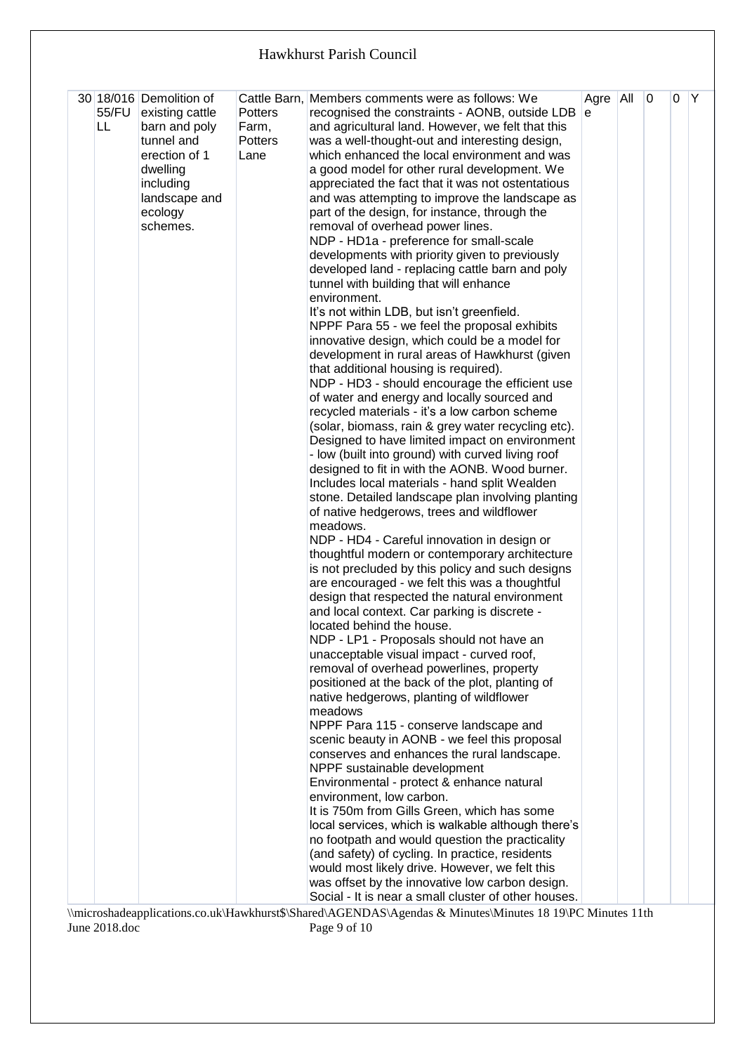| 55/FU<br>LL. | 30 18/016 Demolition of<br>existing cattle<br>barn and poly<br>tunnel and<br>erection of 1<br>dwelling<br>including<br>landscape and<br>ecology<br>schemes. | <b>Potters</b><br>Farm,<br><b>Potters</b><br>Lane | Cattle Barn, Members comments were as follows: We<br>recognised the constraints - AONB, outside LDB $ e $<br>and agricultural land. However, we felt that this<br>was a well-thought-out and interesting design,<br>which enhanced the local environment and was<br>a good model for other rural development. We<br>appreciated the fact that it was not ostentatious<br>and was attempting to improve the landscape as<br>part of the design, for instance, through the<br>removal of overhead power lines.<br>NDP - HD1a - preference for small-scale<br>developments with priority given to previously<br>developed land - replacing cattle barn and poly<br>tunnel with building that will enhance<br>environment.<br>It's not within LDB, but isn't greenfield.<br>NPPF Para 55 - we feel the proposal exhibits<br>innovative design, which could be a model for<br>development in rural areas of Hawkhurst (given<br>that additional housing is required).<br>NDP - HD3 - should encourage the efficient use<br>of water and energy and locally sourced and<br>recycled materials - it's a low carbon scheme<br>(solar, biomass, rain & grey water recycling etc).<br>Designed to have limited impact on environment<br>- low (built into ground) with curved living roof<br>designed to fit in with the AONB. Wood burner.<br>Includes local materials - hand split Wealden<br>stone. Detailed landscape plan involving planting<br>of native hedgerows, trees and wildflower<br>meadows.<br>NDP - HD4 - Careful innovation in design or<br>thoughtful modern or contemporary architecture<br>is not precluded by this policy and such designs<br>are encouraged - we felt this was a thoughtful<br>design that respected the natural environment<br>and local context. Car parking is discrete -<br>located behind the house.<br>NDP - LP1 - Proposals should not have an<br>unacceptable visual impact - curved roof,<br>removal of overhead powerlines, property<br>positioned at the back of the plot, planting of<br>native hedgerows, planting of wildflower<br>meadows<br>NPPF Para 115 - conserve landscape and<br>scenic beauty in AONB - we feel this proposal<br>conserves and enhances the rural landscape.<br>NPPF sustainable development<br>Environmental - protect & enhance natural<br>environment, low carbon. | Agre All | $\overline{0}$ | 0 | Y |
|--------------|-------------------------------------------------------------------------------------------------------------------------------------------------------------|---------------------------------------------------|-----------------------------------------------------------------------------------------------------------------------------------------------------------------------------------------------------------------------------------------------------------------------------------------------------------------------------------------------------------------------------------------------------------------------------------------------------------------------------------------------------------------------------------------------------------------------------------------------------------------------------------------------------------------------------------------------------------------------------------------------------------------------------------------------------------------------------------------------------------------------------------------------------------------------------------------------------------------------------------------------------------------------------------------------------------------------------------------------------------------------------------------------------------------------------------------------------------------------------------------------------------------------------------------------------------------------------------------------------------------------------------------------------------------------------------------------------------------------------------------------------------------------------------------------------------------------------------------------------------------------------------------------------------------------------------------------------------------------------------------------------------------------------------------------------------------------------------------------------------------------------------------------------------------------------------------------------------------------------------------------------------------------------------------------------------------------------------------------------------------------------------------------------------------------------------------------------------------------------------------------------------------------------------------------------------------------------------------|----------|----------------|---|---|
|              |                                                                                                                                                             |                                                   | It is 750m from Gills Green, which has some<br>local services, which is walkable although there's<br>no footpath and would question the practicality<br>(and safety) of cycling. In practice, residents<br>would most likely drive. However, we felt this<br>was offset by the innovative low carbon design.<br>Social - It is near a small cluster of other houses.                                                                                                                                                                                                                                                                                                                                                                                                                                                                                                                                                                                                                                                                                                                                                                                                                                                                                                                                                                                                                                                                                                                                                                                                                                                                                                                                                                                                                                                                                                                                                                                                                                                                                                                                                                                                                                                                                                                                                                    |          |                |   |   |

\\microshadeapplications.co.uk\Hawkhurst\$\Shared\AGENDAS\Agendas & Minutes\Minutes 18 19\PC Minutes 11th June 2018.doc Page 9 of 10